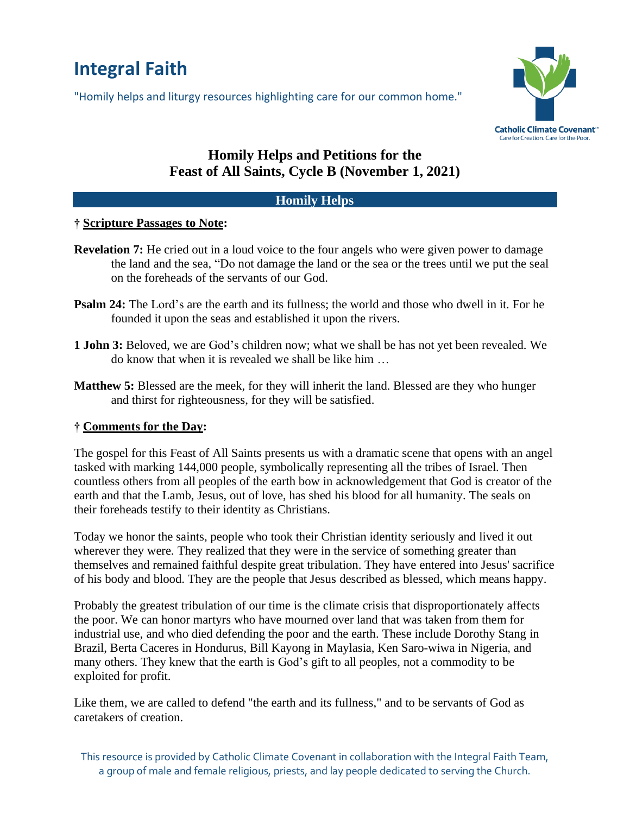# **Integral Faith**

"Homily helps and liturgy resources highlighting care for our common home."



## **Homily Helps and Petitions for the Feast of All Saints, Cycle B (November 1, 2021)**

#### **Homily Helps**

#### **† Scripture Passages to Note:**

- **Revelation 7:** He cried out in a loud voice to the four angels who were given power to damage the land and the sea, "Do not damage the land or the sea or the trees until we put the seal on the foreheads of the servants of our God.
- **Psalm 24:** The Lord's are the earth and its fullness; the world and those who dwell in it. For he founded it upon the seas and established it upon the rivers.
- **1 John 3:** Beloved, we are God's children now; what we shall be has not yet been revealed. We do know that when it is revealed we shall be like him …
- **Matthew 5:** Blessed are the meek, for they will inherit the land. Blessed are they who hunger and thirst for righteousness, for they will be satisfied.

#### **† Comments for the Day:**

The gospel for this Feast of All Saints presents us with a dramatic scene that opens with an angel tasked with marking 144,000 people, symbolically representing all the tribes of Israel. Then countless others from all peoples of the earth bow in acknowledgement that God is creator of the earth and that the Lamb, Jesus, out of love, has shed his blood for all humanity. The seals on their foreheads testify to their identity as Christians.

Today we honor the saints, people who took their Christian identity seriously and lived it out wherever they were. They realized that they were in the service of something greater than themselves and remained faithful despite great tribulation. They have entered into Jesus' sacrifice of his body and blood. They are the people that Jesus described as blessed, which means happy.

Probably the greatest tribulation of our time is the climate crisis that disproportionately affects the poor. We can honor martyrs who have mourned over land that was taken from them for industrial use, and who died defending the poor and the earth. These include Dorothy Stang in Brazil, Berta Caceres in Hondurus, Bill Kayong in Maylasia, Ken Saro-wiwa in Nigeria, and many others. They knew that the earth is God's gift to all peoples, not a commodity to be exploited for profit.

Like them, we are called to defend "the earth and its fullness," and to be servants of God as caretakers of creation.

This resource is provided by Catholic Climate Covenant in collaboration with the Integral Faith Team, a group of male and female religious, priests, and lay people dedicated to serving the Church.